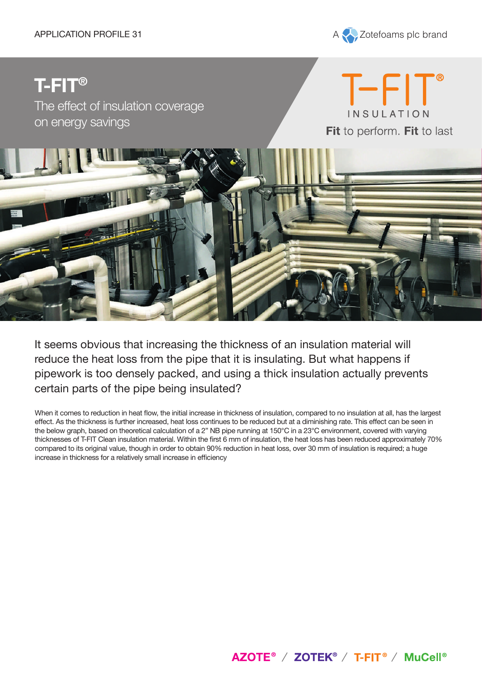

# **T-FIT®**

The effect of insulation coverage on energy savings





It seems obvious that increasing the thickness of an insulation material will reduce the heat loss from the pipe that it is insulating. But what happens if pipework is too densely packed, and using a thick insulation actually prevents certain parts of the pipe being insulated?

When it comes to reduction in heat flow, the initial increase in thickness of insulation, compared to no insulation at all, has the largest effect. As the thickness is further increased, heat loss continues to be reduced but at a diminishing rate. This effect can be seen in the below graph, based on theoretical calculation of a 2" NB pipe running at 150°C in a 23°C environment, covered with varying thicknesses of T-FIT Clean insulation material. Within the first 6 mm of insulation, the heat loss has been reduced approximately 70% compared to its original value, though in order to obtain 90% reduction in heat loss, over 30 mm of insulation is required; a huge increase in thickness for a relatively small increase in efficiency

AZOTE<sup>®</sup> / ZOTEK<sup>®</sup> / T-FIT<sup>®</sup> / MuCell<sup>®</sup>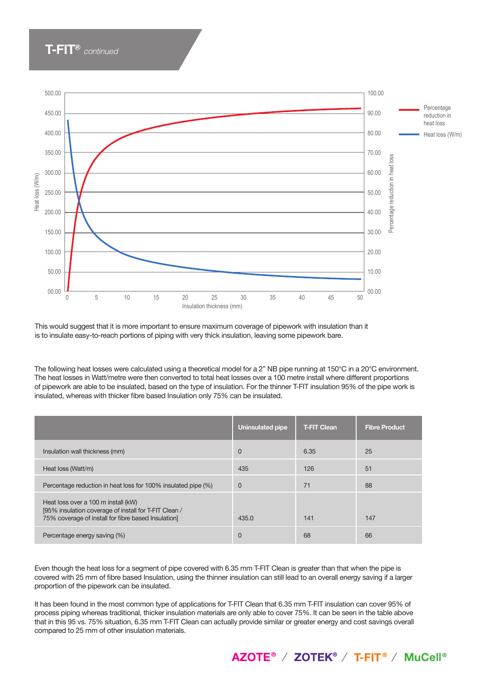# **T-FIT®** *continued*



This would suggest that it is more important to ensure maximum coverage of pipework with insulation than it is to insulate easy-to-reach portions of piping with very thick insulation, leaving some pipework bare.

The following heat losses were calculated using a theoretical model for a 2" NB pipe running at 150°C in a 20°C environment. The heat losses in Watt/metre were then converted to total heat losses over a 100 metre install where different proportions of pipework are able to be insulated, based on the type of insulation. For the thinner T-FIT insulation 95% of the pipe work is insulated, whereas with thicker fibre based Insulation only 75% can be insulated.

|                                                                                                                                                     | <b>Uninsulated pipe</b> | <b>T-FIT Clean</b> | <b>Fibre Product</b> |
|-----------------------------------------------------------------------------------------------------------------------------------------------------|-------------------------|--------------------|----------------------|
| Insulation wall thickness (mm)                                                                                                                      | 0                       | 6.35               | 25                   |
| Heat loss (Watt/m)                                                                                                                                  | 435                     | 126                | 51                   |
| Percentage reduction in heat loss for 100% insulated pipe (%)                                                                                       | $\mathbf 0$             | 71                 | 88                   |
| Heat loss over a 100 m install (kW)<br>[95% insulation coverage of install for T-FIT Clean /<br>75% coverage of install for fibre based Insulation] | 435.0                   | 141                | 147                  |
| Percentage energy saving (%)                                                                                                                        | $\Omega$                | 68                 | 66                   |

Even though the heat loss for a segment of pipe covered with 6.35 mm T-FIT Clean is greater than that when the pipe is covered with 25 mm of fibre based Insulation, using the thinner insulation can still lead to an overall energy saving if a larger proportion of the pipework can be insulated.

It has been found in the most common type of applications for T-FIT Clean that 6.35 mm T-FIT insulation can cover 95% of process piping whereas traditional, thicker insulation materials are only able to cover 75%. It can be seen in the table above that in this 95 vs. 75% situation, 6.35 mm T-FIT Clean can actually provide similar or greater energy and cost savings overall compared to 25 mm of other insulation materials.

AZOTE® / ZOTEK® / T-FIT® / MuCell®